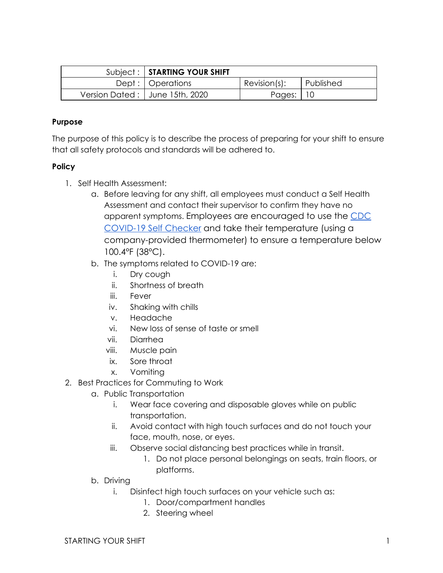| Subject:   STARTING YOUR SHIFT   |                 |           |
|----------------------------------|-----------------|-----------|
| Dept :   Operations              | $Revision(s)$ : | Published |
| Version Dated:   June 15th, 2020 | Pages:   10     |           |

### **Purpose**

The purpose of this policy is to describe the process of preparing for your shift to ensure that all safety protocols and standards will be adhered to.

### **Policy**

- 1. Self Health Assessment:
	- a. Before leaving for any shift, all employees must conduct a Self Health Assessment and contact their supervisor to confirm they have no apparent symptoms. Employees are encouraged to use the [CDC](https://www.cdc.gov/coronavirus/2019-ncov/) [COVID-19 Self Checker](https://www.cdc.gov/coronavirus/2019-ncov/) and take their temperature (using a company-provided thermometer) to ensure a temperature below 100.4°F (38°C).
	- b. The symptoms related to COVID-19 are:
		- i. Dry cough
		- ii. Shortness of breath
		- iii. Fever
		- iv. Shaking with chills
		- v. Headache
		- vi. New loss of sense of taste or smell
		- vii. Diarrhea
		- viii. Muscle pain
		- ix. Sore throat
		- x. Vomiting
- 2. Best Practices for Commuting to Work
	- a. Public Transportation
		- i. Wear face covering and disposable gloves while on public transportation.
		- ii. Avoid contact with high touch surfaces and do not touch your face, mouth, nose, or eyes.
		- iii. Observe social distancing best practices while in transit.
			- 1. Do not place personal belongings on seats, train floors, or platforms.
	- b. Driving
		- i. Disinfect high touch surfaces on your vehicle such as:
			- 1. Door/compartment handles
			- 2. Steering wheel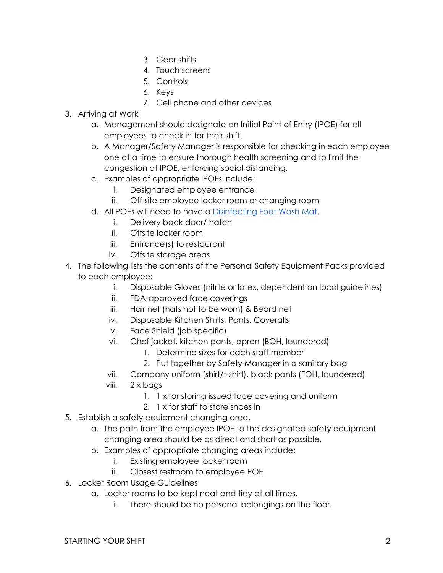- 3. Gear shifts
- 4. Touch screens
- 5. Controls
- 6. Keys
	- 7. Cell phone and other devices
- 3. Arriving at Work
	- a. Management should designate an Initial Point of Entry (IPOE) for all employees to check in for their shift.
	- b. A Manager/Safety Manager is responsible for checking in each employee one at a time to ensure thorough health screening and to limit the congestion at IPOE, enforcing social distancing.
	- c. Examples of appropriate IPOEs include:
		- i. Designated employee entrance
		- ii. Off-site employee locker room or changing room
	- d. All POEs will need to have a [Disinfecting Foot Wash Mat.](https://www.uline.com/BL_1366/Sanitizing-Footbath-Mats)
		- i. Delivery back door/ hatch
		- ii. Offsite locker room
		- iii. Entrance(s) to restaurant
		- iv. Offsite storage areas
- 4. The following lists the contents of the Personal Safety Equipment Packs provided to each employee:
	- i. Disposable Gloves (nitrile or latex, dependent on local guidelines)
	- ii. FDA-approved face coverings
	- iii. Hair net (hats not to be worn) & Beard net
	- iv. Disposable Kitchen Shirts, Pants, Coveralls
	- v. Face Shield (job specific)
	- vi. Chef jacket, kitchen pants, apron (BOH, laundered)
		- 1. Determine sizes for each staff member
		- 2. Put together by Safety Manager in a sanitary bag
	- vii. Company uniform (shirt/t-shirt), black pants (FOH, laundered)
	- viii. 2 x bags
		- 1. 1 x for storing issued face covering and uniform
		- 2. 1 x for staff to store shoes in
- 5. Establish a safety equipment changing area.
	- a. The path from the employee IPOE to the designated safety equipment changing area should be as direct and short as possible.
	- b. Examples of appropriate changing areas include:
		- i. Existing employee locker room
		- ii. Closest restroom to employee POE
- 6. Locker Room Usage Guidelines
	- a. Locker rooms to be kept neat and tidy at all times.
		- i. There should be no personal belongings on the floor.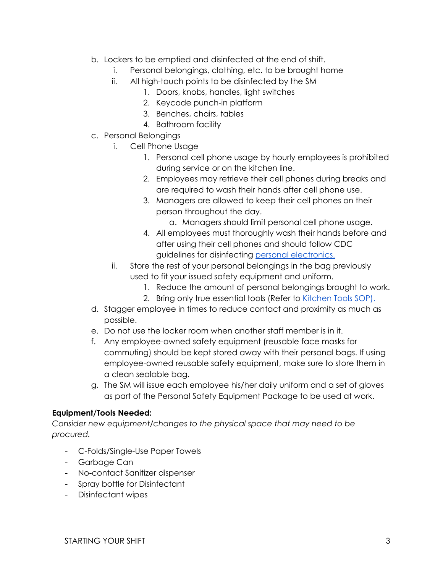- b. Lockers to be emptied and disinfected at the end of shift.
	- i. Personal belongings, clothing, etc. to be brought home
	- ii. All high-touch points to be disinfected by the SM
		- 1. Doors, knobs, handles, light switches
		- 2. Keycode punch-in platform
		- 3. Benches, chairs, tables
		- 4. Bathroom facility
- c. Personal Belongings
	- i. Cell Phone Usage
		- 1. Personal cell phone usage by hourly employees is prohibited during service or on the kitchen line.
		- 2. Employees may retrieve their cell phones during breaks and are required to wash their hands after cell phone use.
		- 3. Managers are allowed to keep their cell phones on their person throughout the day.
			- a. Managers should limit personal cell phone usage.
		- 4. All employees must thoroughly wash their hands before and after using their cell phones and should follow CDC guidelines for disinfecting [personal electronics.](https://www.cdc.gov/coronavirus/2019-ncov/prevent-getting-sick/cleaning-disinfection.html)
	- ii. Store the rest of your personal belongings in the bag previously used to fit your issued safety equipment and uniform.
		- 1. Reduce the amount of personal belongings brought to work.
		- 2. Bring only true essential tools (Refer to [Kitchen Tools SOP\).](https://momofuku-assets.s3.amazonaws.com/uploads/2020/06/SOP_BOH_KITCHEN-TOOLS.pdf)
- d. Stagger employee in times to reduce contact and proximity as much as possible.
- e. Do not use the locker room when another staff member is in it.
- f. Any employee-owned safety equipment (reusable face masks for commuting) should be kept stored away with their personal bags. If using employee-owned reusable safety equipment, make sure to store them in a clean sealable bag.
- g. The SM will issue each employee his/her daily uniform and a set of gloves as part of the Personal Safety Equipment Package to be used at work.

## **Equipment/Tools Needed:**

*Consider new equipment/changes to the physical space that may need to be procured.*

- C-Folds/Single-Use Paper Towels
- Garbage Can
- No-contact Sanitizer dispenser
- Spray bottle for Disinfectant
- Disinfectant wipes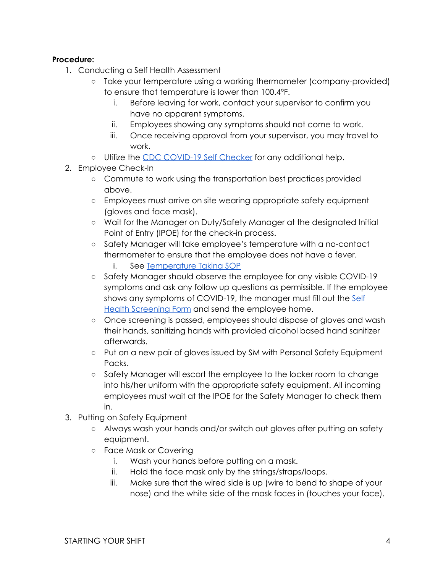# **Procedure:**

- 1. Conducting a Self Health Assessment
	- Take your temperature using a working thermometer (company-provided) to ensure that temperature is lower than 100.4°F.
		- i. Before leaving for work, contact your supervisor to confirm you have no apparent symptoms.
		- ii. Employees showing any symptoms should not come to work.
		- iii. Once receiving approval from your supervisor, you may travel to work.
	- o Utilize the [CDC COVID-19 Self Checker](https://www.cdc.gov/coronavirus/2019-ncov/) for any additional help.
- 2. Employee Check-In
	- Commute to work using the transportation best practices provided above.
	- Employees must arrive on site wearing appropriate safety equipment (gloves and face mask).
	- Wait for the Manager on Duty/Safety Manager at the designated Initial Point of Entry (IPOE) for the check-in process.
	- Safety Manager will take employee's temperature with a no-contact thermometer to ensure that the employee does not have a fever.
		- i. See [Temperature Taking SOP](https://momofuku-assets.s3.amazonaws.com/uploads/2020/06/SOP_GENERAL_TAKING-TEMPERATURES.pdf)
	- Safety Manager should observe the employee for any visible COVID-19 symptoms and ask any follow up questions as permissible. If the employee shows any symptoms of COVID-19, the manager must fill out the [Self](https://momofuku-assets.s3.amazonaws.com/uploads/2020/06/FORM_SELF-HEALTH-SCREENING-.pdf) [Health Screening Form](https://momofuku-assets.s3.amazonaws.com/uploads/2020/06/FORM_SELF-HEALTH-SCREENING-.pdf) and send the employee home.
	- Once screening is passed, employees should dispose of gloves and wash their hands, sanitizing hands with provided alcohol based hand sanitizer afterwards.
	- Put on a new pair of gloves issued by SM with Personal Safety Equipment Packs.
	- Safety Manager will escort the employee to the locker room to change into his/her uniform with the appropriate safety equipment. All incoming employees must wait at the IPOE for the Safety Manager to check them in.
- 3. Putting on Safety Equipment
	- Always wash your hands and/or switch out gloves after putting on safety equipment.
	- Face Mask or Covering
		- i. Wash your hands before putting on a mask.
		- ii. Hold the face mask only by the strings/straps/loops.
		- iii. Make sure that the wired side is up (wire to bend to shape of your nose) and the white side of the mask faces in (touches your face).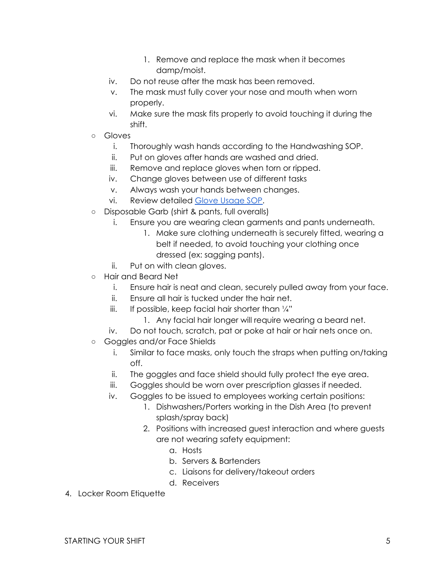- 1. Remove and replace the mask when it becomes damp/moist.
- iv. Do not reuse after the mask has been removed.
- v. The mask must fully cover your nose and mouth when worn properly.
- vi. Make sure the mask fits properly to avoid touching it during the shift.
- Gloves
	- i. Thoroughly wash hands according to the Handwashing SOP.
	- ii. Put on gloves after hands are washed and dried.
	- iii. Remove and replace gloves when torn or ripped.
	- iv. Change gloves between use of different tasks
	- v. Always wash your hands between changes.
	- vi. Review detailed [Glove Usage SOP.](https://momofuku-assets.s3.amazonaws.com/uploads/2020/06/SOP_GENERAL_GLOVE-USAGE.pdf)
- Disposable Garb (shirt & pants, full overalls)
	- i. Ensure you are wearing clean garments and pants underneath.
		- 1. Make sure clothing underneath is securely fitted, wearing a belt if needed, to avoid touching your clothing once dressed (ex: sagging pants).
	- ii. Put on with clean gloves.
- Hair and Beard Net
	- i. Ensure hair is neat and clean, securely pulled away from your face.
	- ii. Ensure all hair is tucked under the hair net.
	- iii. If possible, keep facial hair shorter than  $\frac{1}{4}$ "
		- 1. Any facial hair longer will require wearing a beard net.
	- iv. Do not touch, scratch, pat or poke at hair or hair nets once on.
- Goggles and/or Face Shields
	- i. Similar to face masks, only touch the straps when putting on/taking off.
	- ii. The goggles and face shield should fully protect the eye area.
	- iii. Goggles should be worn over prescription glasses if needed.
	- iv. Goggles to be issued to employees working certain positions:
		- 1. Dishwashers/Porters working in the Dish Area (to prevent splash/spray back)
		- 2. Positions with increased guest interaction and where guests are not wearing safety equipment:
			- a. Hosts
			- b. Servers & Bartenders
			- c. Liaisons for delivery/takeout orders
			- d. Receivers
- 4. Locker Room Etiquette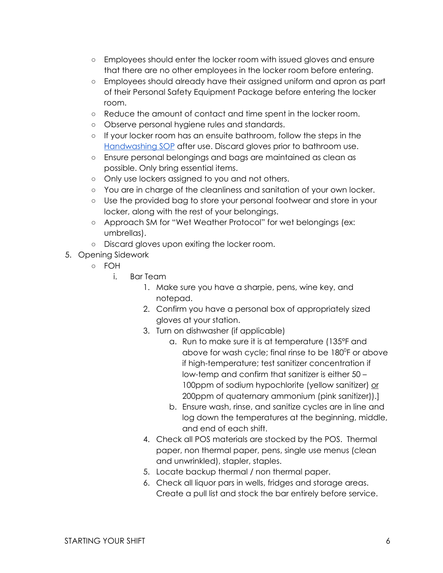- Employees should enter the locker room with issued gloves and ensure that there are no other employees in the locker room before entering.
- Employees should already have their assigned uniform and apron as part of their Personal Safety Equipment Package before entering the locker room.
- Reduce the amount of contact and time spent in the locker room.
- Observe personal hygiene rules and standards.
- If your locker room has an ensuite bathroom, follow the steps in the [Handwashing SOP](https://momofuku-assets.s3.amazonaws.com/uploads/2020/06/SOP_GENERAL_HANDWASHING.pdf) after use. Discard gloves prior to bathroom use.
- Ensure personal belongings and bags are maintained as clean as possible. Only bring essential items.
- Only use lockers assigned to you and not others.
- You are in charge of the cleanliness and sanitation of your own locker.
- Use the provided bag to store your personal footwear and store in your locker, along with the rest of your belongings.
- Approach SM for "Wet Weather Protocol" for wet belongings (ex: umbrellas).
- Discard gloves upon exiting the locker room.
- 5. Opening Sidework
	- FOH
		- i. Bar Team
			- 1. Make sure you have a sharpie, pens, wine key, and notepad.
			- 2. Confirm you have a personal box of appropriately sized gloves at your station.
			- 3. Turn on dishwasher (if applicable)
				- a. Run to make sure it is at temperature (135°F and above for wash cycle; final rinse to be  $180^\circ$ F or above if high-temperature; test sanitizer concentration if low-temp and confirm that sanitizer is either 50 – 100ppm of sodium hypochlorite (yellow sanitizer) or 200ppm of quaternary ammonium (pink sanitizer)).]
				- b. Ensure wash, rinse, and sanitize cycles are in line and log down the temperatures at the beginning, middle, and end of each shift.
			- 4. Check all POS materials are stocked by the POS. Thermal paper, non thermal paper, pens, single use menus (clean and unwrinkled), stapler, staples.
			- 5. Locate backup thermal / non thermal paper.
			- 6. Check all liquor pars in wells, fridges and storage areas. Create a pull list and stock the bar entirely before service.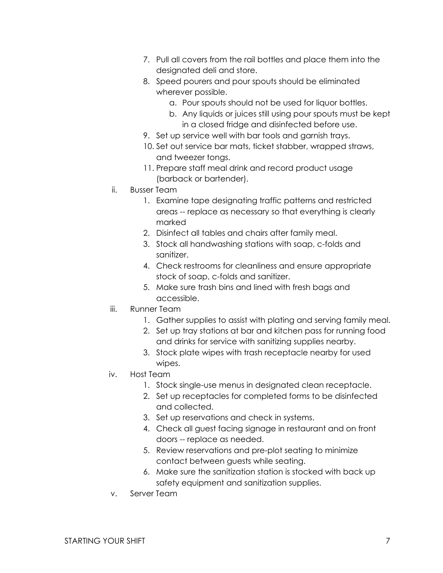- 7. Pull all covers from the rail bottles and place them into the designated deli and store.
- 8. Speed pourers and pour spouts should be eliminated wherever possible.
	- a. Pour spouts should not be used for liquor bottles.
	- b. Any liquids or juices still using pour spouts must be kept in a closed fridge and disinfected before use.
- 9. Set up service well with bar tools and garnish trays.
- 10. Set out service bar mats, ticket stabber, wrapped straws, and tweezer tongs.
- 11. Prepare staff meal drink and record product usage (barback or bartender).
- ii. Busser Team
	- 1. Examine tape designating traffic patterns and restricted areas -- replace as necessary so that everything is clearly marked
	- 2. Disinfect all tables and chairs after family meal.
	- 3. Stock all handwashing stations with soap, c-folds and sanitizer.
	- 4. Check restrooms for cleanliness and ensure appropriate stock of soap, c-folds and sanitizer.
	- 5. Make sure trash bins and lined with fresh bags and accessible.
- iii. Runner Team
	- 1. Gather supplies to assist with plating and serving family meal.
	- 2. Set up tray stations at bar and kitchen pass for running food and drinks for service with sanitizing supplies nearby.
	- 3. Stock plate wipes with trash receptacle nearby for used wipes.
- iv. Host Team
	- 1. Stock single-use menus in designated clean receptacle.
	- 2. Set up receptacles for completed forms to be disinfected and collected.
	- 3. Set up reservations and check in systems.
	- 4. Check all guest facing signage in restaurant and on front doors -- replace as needed.
	- 5. Review reservations and pre-plot seating to minimize contact between guests while seating.
	- 6. Make sure the sanitization station is stocked with back up safety equipment and sanitization supplies.
- v. Server Team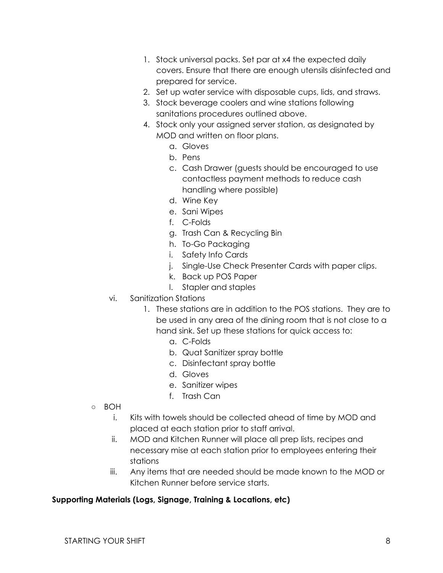- 1. Stock universal packs. Set par at x4 the expected daily covers. Ensure that there are enough utensils disinfected and prepared for service.
- 2. Set up water service with disposable cups, lids, and straws.
- 3. Stock beverage coolers and wine stations following sanitations procedures outlined above.
- 4. Stock only your assigned server station, as designated by MOD and written on floor plans.
	- a. Gloves
	- b. Pens
	- c. Cash Drawer (guests should be encouraged to use contactless payment methods to reduce cash handling where possible)
	- d. Wine Key
	- e. Sani Wipes
	- f. C-Folds
	- g. Trash Can & Recycling Bin
	- h. To-Go Packaging
	- i. Safety Info Cards
	- j. Single-Use Check Presenter Cards with paper clips.
	- k. Back up POS Paper
	- l. Stapler and staples
- vi. Sanitization Stations
	- 1. These stations are in addition to the POS stations. They are to be used in any area of the dining room that is not close to a hand sink. Set up these stations for quick access to:
		- a. C-Folds
		- b. Quat Sanitizer spray bottle
		- c. Disinfectant spray bottle
		- d. Gloves
		- e. Sanitizer wipes
		- f. Trash Can
- BOH
	- i. Kits with towels should be collected ahead of time by MOD and placed at each station prior to staff arrival.
	- ii. MOD and Kitchen Runner will place all prep lists, recipes and necessary mise at each station prior to employees entering their stations
	- iii. Any items that are needed should be made known to the MOD or Kitchen Runner before service starts.

## **Supporting Materials (Logs, Signage, Training & Locations, etc)**